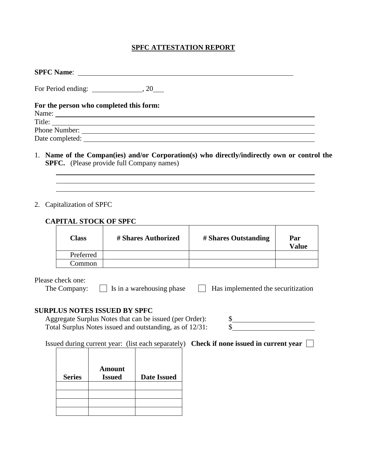## **SPFC ATTESTATION REPORT**

| For Period ending: $\_\_\_\_\_\_$ , 20 $\_\_\_\_\$                                          |
|---------------------------------------------------------------------------------------------|
| For the person who completed this form:                                                     |
|                                                                                             |
|                                                                                             |
| Phone Number: <u>Number</u> 2008                                                            |
|                                                                                             |
| 1. Name of the Compan(ies) and/or Corporation(s) who directly/indirectly own or control the |
| <b>SPFC.</b> (Please provide full Company names)                                            |

| Class     | # Shares Authorized | # Shares Outstanding | Par<br><b>Value</b> |
|-----------|---------------------|----------------------|---------------------|
| Preferred |                     |                      |                     |
| Common    |                     |                      |                     |

Please check one:

The Company:  $\Box$  Is in a warehousing phase  $\Box$  Has implemented the securitization

## **SURPLUS NOTES ISSUED BY SPFC**

Aggregate Surplus Notes that can be issued (per Order):  $\frac{\$}{}$   $\frac{\$}{}$  Total Surplus Notes issued and outstanding, as of 12/31:  $\frac{\$}{}$ Total Surplus Notes issued and outstanding, as of 12/31: \$

Issued during current year: (list each separately) **Check if none issued in current year** 

| <b>Series</b> | <b>Amount</b><br><b>Issued</b> | <b>Date Issued</b> |
|---------------|--------------------------------|--------------------|
|               |                                |                    |
|               |                                |                    |
|               |                                |                    |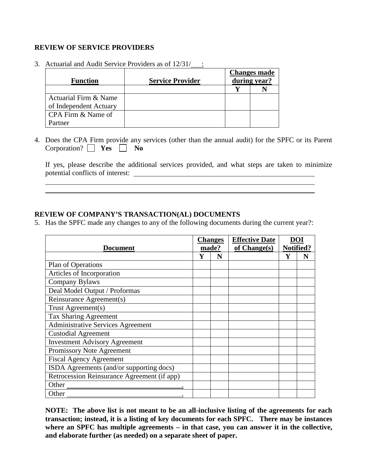## **REVIEW OF SERVICE PROVIDERS**

<u> 1989 - Johann Barbara, martin a</u>

| <b>Function</b>        | <b>Service Provider</b> | <b>Changes made</b><br>during year? |  |
|------------------------|-------------------------|-------------------------------------|--|
|                        |                         |                                     |  |
| Actuarial Firm & Name  |                         |                                     |  |
| of Independent Actuary |                         |                                     |  |
| CPA Firm & Name of     |                         |                                     |  |
| artner                 |                         |                                     |  |

3. Actuarial and Audit Service Providers as of  $12/31/$ :

4. Does the CPA Firm provide any services (other than the annual audit) for the SPFC or its Parent Corporation?  $\Box$  **Yes**  $\Box$  **No** 

If yes, please describe the additional services provided, and what steps are taken to minimize potential conflicts of interest:

<u> 1989 - Johann Stoff, amerikansk politiker (d. 1989)</u>

## **REVIEW OF COMPANY'S TRANSACTION(AL) DOCUMENTS**

5. Has the SPFC made any changes to any of the following documents during the current year?:

|                                             | <b>Changes</b> |   | <b>Effective Date</b> | DOI       |  |
|---------------------------------------------|----------------|---|-----------------------|-----------|--|
| <b>Document</b>                             | made?          |   | of $Change(s)$        | Notified? |  |
|                                             |                | N |                       |           |  |
| Plan of Operations                          |                |   |                       |           |  |
| Articles of Incorporation                   |                |   |                       |           |  |
| Company Bylaws                              |                |   |                       |           |  |
| Deal Model Output / Proformas               |                |   |                       |           |  |
| Reinsurance Agreement(s)                    |                |   |                       |           |  |
| Trust Agreement(s)                          |                |   |                       |           |  |
| <b>Tax Sharing Agreement</b>                |                |   |                       |           |  |
| <b>Administrative Services Agreement</b>    |                |   |                       |           |  |
| <b>Custodial Agreement</b>                  |                |   |                       |           |  |
| <b>Investment Advisory Agreement</b>        |                |   |                       |           |  |
| Promissory Note Agreement                   |                |   |                       |           |  |
| <b>Fiscal Agency Agreement</b>              |                |   |                       |           |  |
| ISDA Agreements (and/or supporting docs)    |                |   |                       |           |  |
| Retrocession Reinsurance Agreement (if app) |                |   |                       |           |  |
| Other                                       |                |   |                       |           |  |
| Other                                       |                |   |                       |           |  |

**NOTE: The above list is not meant to be an all-inclusive listing of the agreements for each transaction; instead, it is a listing of key documents for each SPFC. There may be instances where an SPFC has multiple agreements – in that case, you can answer it in the collective, and elaborate further (as needed) on a separate sheet of paper.**